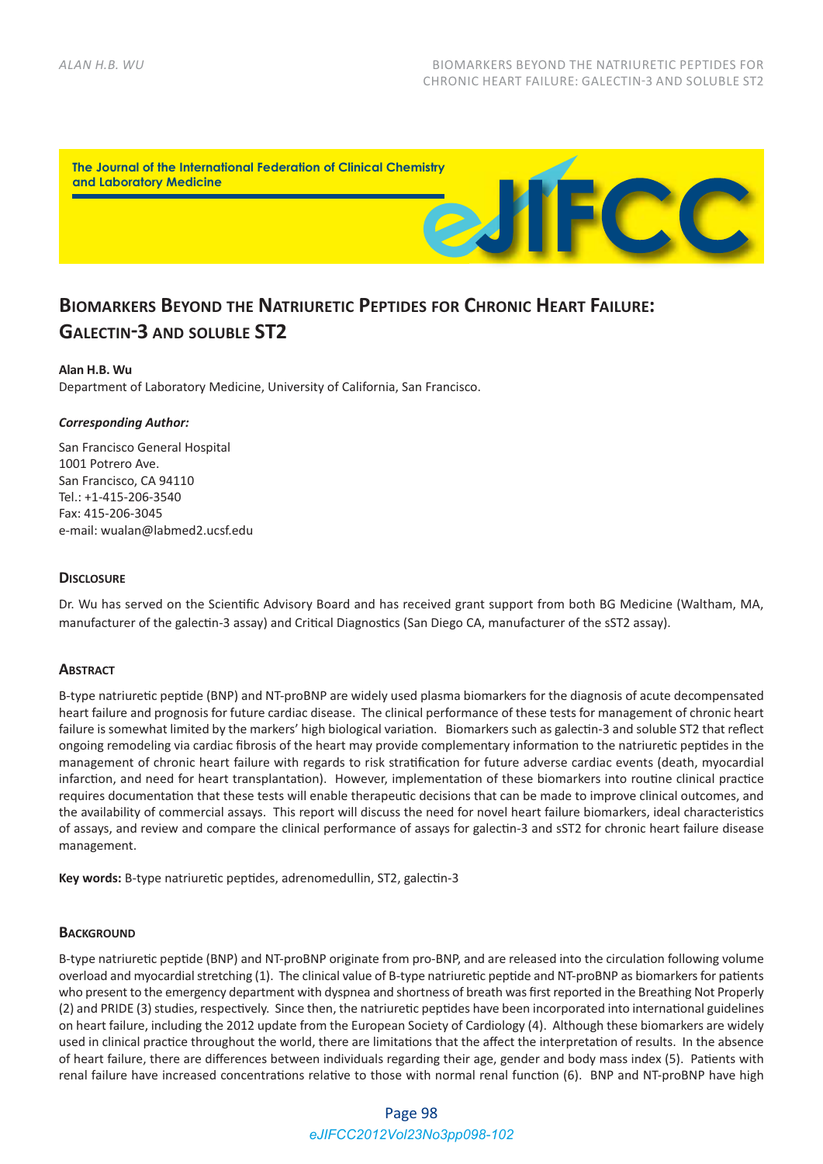

# **BIOMARKERS BEYOND THE NATRIURETIC PEPTIDES FOR CHRONIC HEART FAILURE: GALECTIN-3 AND SOLUBLE ST2**

### **Alan H.B. Wu**

Department of Laboratory Medicine, University of California, San Francisco.

### *Corresponding Author:*

San Francisco General Hospital 1001 Potrero Ave. San Francisco, CA 94110 Tel.: +1‐415‐206‐3540 Fax: 415‐206‐3045 e‐mail: wualan@labmed2.ucsf.edu

### **DISCLOSURE**

Dr. Wu has served on the Scientific Advisory Board and has received grant support from both BG Medicine (Waltham, MA, manufacturer of the galectin‐3 assay) and Critical Diagnostics (San Diego CA, manufacturer of the sST2 assay).

### **ABSTRACT**

B‐type natriuretic peptide (BNP) and NT‐proBNP are widely used plasma biomarkers for the diagnosis of acute decompensated heart failure and prognosis for future cardiac disease. The clinical performance of these tests for management of chronic heart failure is somewhat limited by the markers' high biological variation. Biomarkers such as galectin‐3 and soluble ST2 that reflect ongoing remodeling via cardiac fibrosis of the heart may provide complementary information to the natriuretic peptides in the management of chronic heart failure with regards to risk stratification for future adverse cardiac events (death, myocardial infarction, and need for heart transplantation). However, implementation of these biomarkers into routine clinical practice requires documentation that these tests will enable therapeutic decisions that can be made to improve clinical outcomes, and the availability of commercial assays. This report will discuss the need for novel heart failure biomarkers, ideal characteristics of assays, and review and compare the clinical performance of assays for galectin‐3 and sST2 for chronic heart failure disease management.

**Key words:** B‐type natriuretic peptides, adrenomedullin, ST2, galectin‐3

### **BACKGROUND**

B‐type natriuretic peptide (BNP) and NT‐proBNP originate from pro‐BNP, and are released into the circulation following volume overload and myocardial stretching (1). The clinical value of B‐type natriuretic peptide and NT‐proBNP as biomarkers for patients who present to the emergency department with dyspnea and shortness of breath was first reported in the Breathing Not Properly (2) and PRIDE (3) studies, respectively. Since then, the natriuretic peptides have been incorporated into international guidelines on heart failure, including the 2012 update from the European Society of Cardiology (4). Although these biomarkers are widely used in clinical practice throughout the world, there are limitations that the affect the interpretation of results. In the absence of heart failure, there are differences between individuals regarding their age, gender and body mass index (5). Patients with renal failure have increased concentrations relative to those with normal renal function (6). BNP and NT‐proBNP have high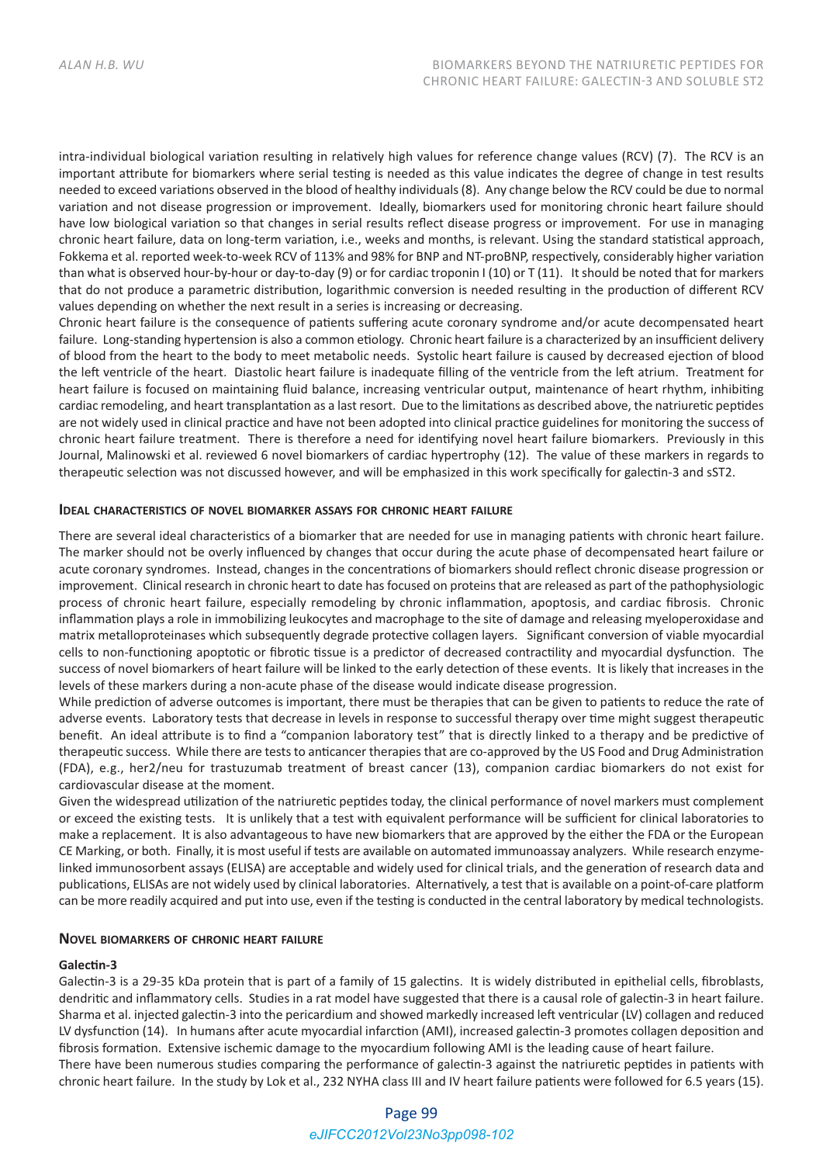intra-individual biological variation resulting in relatively high values for reference change values (RCV) (7). The RCV is an important attribute for biomarkers where serial testing is needed as this value indicates the degree of change in test results needed to exceed variations observed in the blood of healthy individuals (8). Any change below the RCV could be due to normal variation and not disease progression or improvement. Ideally, biomarkers used for monitoring chronic heart failure should have low biological variation so that changes in serial results reflect disease progress or improvement. For use in managing chronic heart failure, data on long‐term variation, i.e., weeks and months, is relevant. Using the standard statistical approach, Fokkema et al. reported week‐to‐week RCV of 113% and 98% for BNP and NT‐proBNP, respectively, considerably higher variation than what is observed hour‐by‐hour or day‐to‐day (9) or for cardiac troponin I (10) or T (11). It should be noted that for markers that do not produce a parametric distribution, logarithmic conversion is needed resulting in the production of different RCV values depending on whether the next result in a series is increasing or decreasing.

Chronic heart failure is the consequence of patients suffering acute coronary syndrome and/or acute decompensated heart failure. Long-standing hypertension is also a common etiology. Chronic heart failure is a characterized by an insufficient delivery of blood from the heart to the body to meet metabolic needs. Systolic heart failure is caused by decreased ejection of blood the left ventricle of the heart. Diastolic heart failure is inadequate filling of the ventricle from the left atrium. Treatment for heart failure is focused on maintaining fluid balance, increasing ventricular output, maintenance of heart rhythm, inhibiting cardiac remodeling, and heart transplantation as a last resort. Due to the limitations as described above, the natriuretic peptides are not widely used in clinical practice and have not been adopted into clinical practice guidelines for monitoring the success of chronic heart failure treatment. There is therefore a need for identifying novel heart failure biomarkers. Previously in this Journal, Malinowski et al. reviewed 6 novel biomarkers of cardiac hypertrophy (12). The value of these markers in regards to therapeutic selection was not discussed however, and will be emphasized in this work specifically for galectin‐3 and sST2.

### **IDEAL CHARACTERISTICS OF NOVEL BIOMARKER ASSAYS FOR CHRONIC HEART FAILURE**

There are several ideal characteristics of a biomarker that are needed for use in managing patients with chronic heart failure. The marker should not be overly influenced by changes that occur during the acute phase of decompensated heart failure or acute coronary syndromes. Instead, changes in the concentrations of biomarkers should reflect chronic disease progression or improvement. Clinical research in chronic heart to date has focused on proteins that are released as part of the pathophysiologic process of chronic heart failure, especially remodeling by chronic inflammation, apoptosis, and cardiac fibrosis. Chronic inflammation plays a role in immobilizing leukocytes and macrophage to the site of damage and releasing myeloperoxidase and matrix metalloproteinases which subsequently degrade protective collagen layers. Significant conversion of viable myocardial cells to non‐functioning apoptotic or fibrotic tissue is a predictor of decreased contractility and myocardial dysfunction. The success of novel biomarkers of heart failure will be linked to the early detection of these events. It is likely that increases in the levels of these markers during a non‐acute phase of the disease would indicate disease progression.

While prediction of adverse outcomes is important, there must be therapies that can be given to patients to reduce the rate of adverse events. Laboratory tests that decrease in levels in response to successful therapy over time might suggest therapeutic benefit. An ideal attribute is to find a "companion laboratory test" that is directly linked to a therapy and be predictive of therapeutic success. While there are tests to anticancer therapies that are co-approved by the US Food and Drug Administration (FDA), e.g., her2/neu for trastuzumab treatment of breast cancer (13), companion cardiac biomarkers do not exist for cardiovascular disease at the moment.

Given the widespread utilization of the natriuretic peptides today, the clinical performance of novel markers must complement or exceed the existing tests. It is unlikely that a test with equivalent performance will be sufficient for clinical laboratories to make a replacement. It is also advantageous to have new biomarkers that are approved by the either the FDA or the European CE Marking, or both. Finally, it is most useful if tests are available on automated immunoassay analyzers. While research enzyme‐ linked immunosorbent assays (ELISA) are acceptable and widely used for clinical trials, and the generation of research data and publications, ELISAs are not widely used by clinical laboratories. Alternatively, a test that is available on a point‐of‐care platform can be more readily acquired and put into use, even if the testing is conducted in the central laboratory by medical technologists.

### **NOVEL BIOMARKERS OF CHRONIC HEART FAILURE**

### **Galectin‐3**

Galectin-3 is a 29-35 kDa protein that is part of a family of 15 galectins. It is widely distributed in epithelial cells, fibroblasts, dendritic and inflammatory cells. Studies in a rat model have suggested that there is a causal role of galectin-3 in heart failure. Sharma et al. injected galectin‐3 into the pericardium and showed markedly increased left ventricular (LV) collagen and reduced LV dysfunction (14). In humans after acute myocardial infarction (AMI), increased galectin‐3 promotes collagen deposition and fibrosis formation. Extensive ischemic damage to the myocardium following AMI is the leading cause of heart failure. There have been numerous studies comparing the performance of galectin-3 against the natriuretic peptides in patients with chronic heart failure. In the study by Lok et al., 232 NYHA class III and IV heart failure patients were followed for 6.5 years (15).

# Page 99 *eJIFCC2012Vol23No3pp098-102*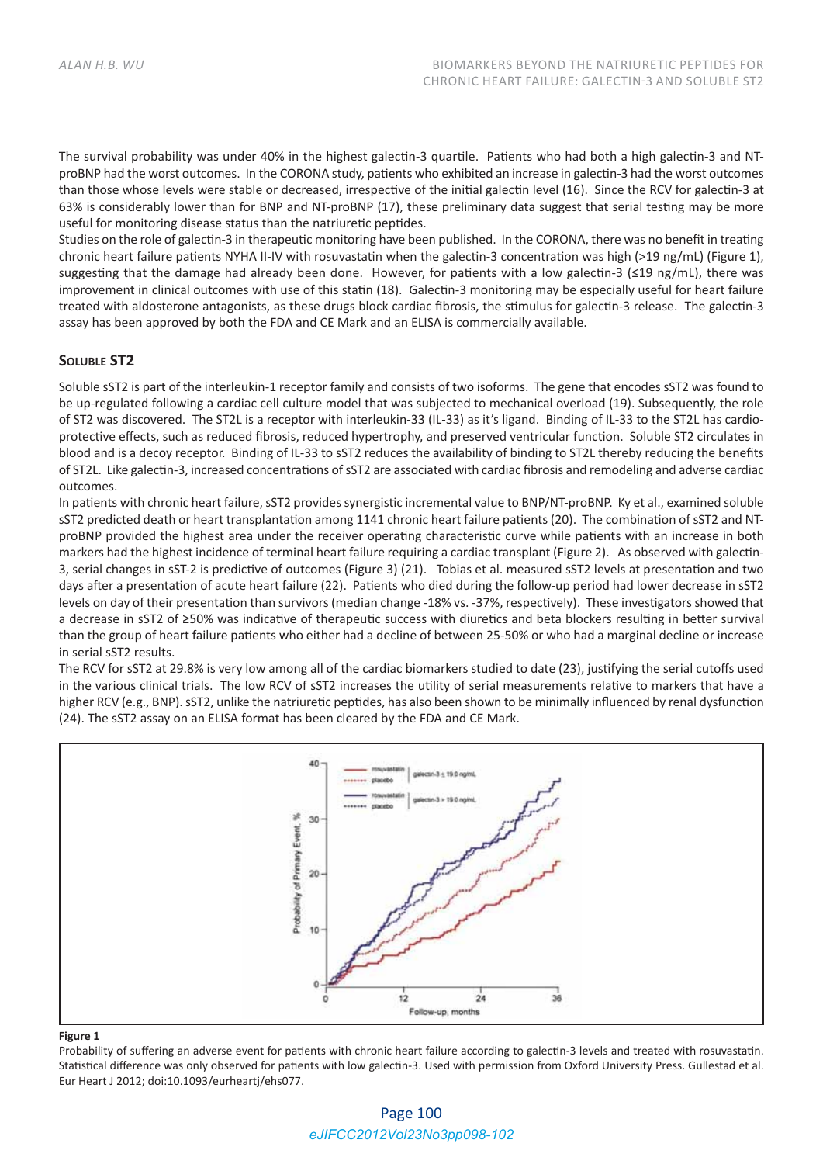The survival probability was under 40% in the highest galectin‐3 quartile. Patients who had both a high galectin‐3 and NT‐ proBNP had the worst outcomes. In the CORONA study, patients who exhibited an increase in galectin‐3 had the worst outcomes than those whose levels were stable or decreased, irrespective of the initial galectin level (16). Since the RCV for galectin‐3 at 63% is considerably lower than for BNP and NT‐proBNP (17), these preliminary data suggest that serial testing may be more useful for monitoring disease status than the natriuretic peptides.

Studies on the role of galectin‐3 in therapeutic monitoring have been published. In the CORONA, there was no benefit in treating chronic heart failure patients NYHA II-IV with rosuvastatin when the galectin-3 concentration was high (>19 ng/mL) (Figure 1), suggesting that the damage had already been done. However, for patients with a low galectin‐3 (≤19 ng/mL), there was improvement in clinical outcomes with use of this statin (18). Galectin-3 monitoring may be especially useful for heart failure treated with aldosterone antagonists, as these drugs block cardiac fibrosis, the stimulus for galectin‐3 release. The galectin‐3 assay has been approved by both the FDA and CE Mark and an ELISA is commercially available.

## **SOLUBLE ST2**

Soluble sST2 is part of the interleukin‐1 receptor family and consists of two isoforms. The gene that encodes sST2 was found to be up-regulated following a cardiac cell culture model that was subjected to mechanical overload (19). Subsequently, the role of ST2 was discovered. The ST2L is a receptor with interleukin‐33 (IL‐33) as it's ligand. Binding of IL‐33 to the ST2L has cardio‐ protective effects, such as reduced fibrosis, reduced hypertrophy, and preserved ventricular function. Soluble ST2 circulates in blood and is a decoy receptor. Binding of IL‐33 to sST2 reduces the availability of binding to ST2L thereby reducing the benefits of ST2L. Like galectin‐3, increased concentrations of sST2 are associated with cardiac fibrosis and remodeling and adverse cardiac outcomes.

In patients with chronic heart failure, sST2 provides synergistic incremental value to BNP/NT‐proBNP. Ky et al., examined soluble sST2 predicted death or heart transplantation among 1141 chronic heart failure patients (20). The combination of sST2 and NT‐ proBNP provided the highest area under the receiver operating characteristic curve while patients with an increase in both markers had the highest incidence of terminal heart failure requiring a cardiac transplant (Figure 2). As observed with galectin‐ 3, serial changes in sST‐2 is predictive of outcomes (Figure 3) (21). Tobias et al. measured sST2 levels at presentation and two days after a presentation of acute heart failure (22). Patients who died during the follow‐up period had lower decrease in sST2 levels on day of their presentation than survivors (median change ‐18% vs. ‐37%, respectively). These investigators showed that a decrease in sST2 of ≥50% was indicative of therapeutic success with diuretics and beta blockers resulting in better survival than the group of heart failure patients who either had a decline of between 25‐50% or who had a marginal decline or increase in serial sST2 results.

The RCV for sST2 at 29.8% is very low among all of the cardiac biomarkers studied to date (23), justifying the serial cutoffs used in the various clinical trials. The low RCV of sST2 increases the utility of serial measurements relative to markers that have a higher RCV (e.g., BNP). sST2, unlike the natriuretic peptides, has also been shown to be minimally influenced by renal dysfunction (24). The sST2 assay on an ELISA format has been cleared by the FDA and CE Mark.



#### **Figure 1**

Probability of suffering an adverse event for patients with chronic heart failure according to galectin‐3 levels and treated with rosuvastatin. Statistical difference was only observed for patients with low galectin‐3. Used with permission from Oxford University Press. Gullestad et al. Eur Heart J 2012; doi:10.1093/eurheartj/ehs077.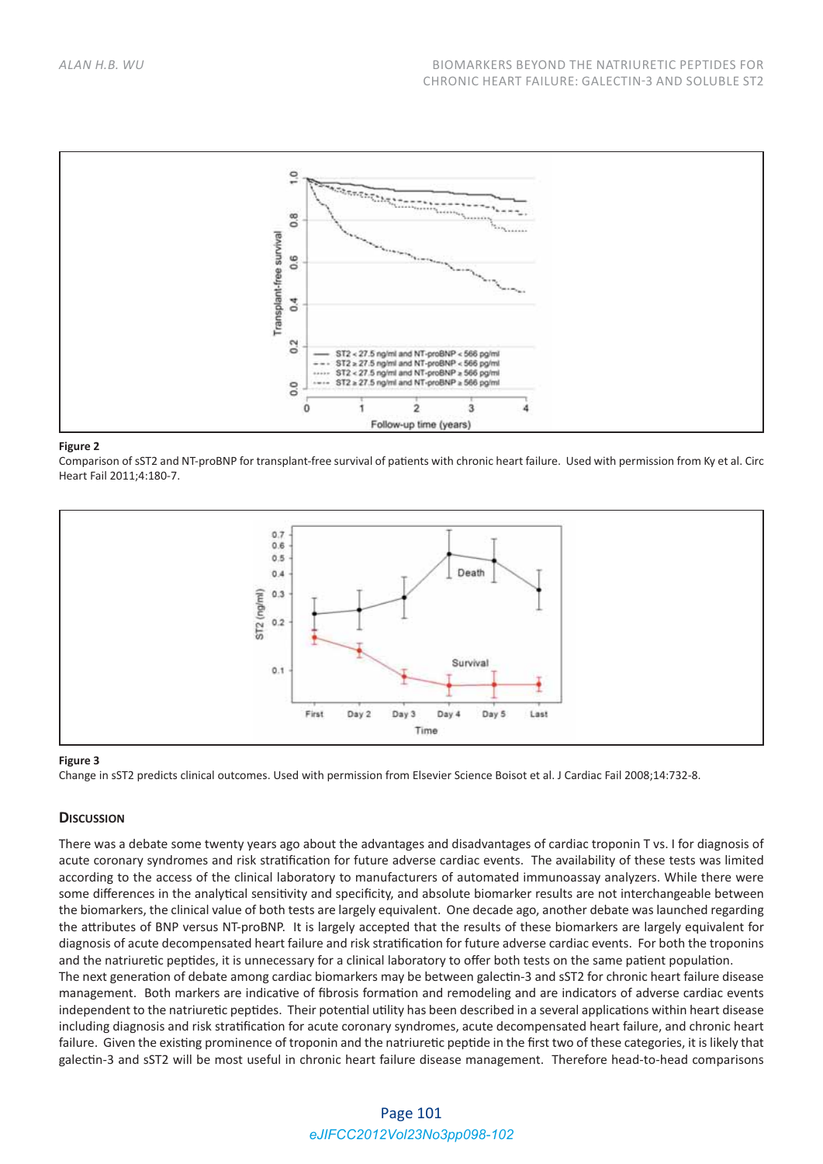

#### **Figure 2**

Comparison of sST2 and NT‐proBNP for transplant‐free survival of patients with chronic heart failure. Used with permission from Ky et al. Circ Heart Fail 2011;4:180‐7.



### **Figure 3**

Change in sST2 predicts clinical outcomes. Used with permission from Elsevier Science Boisot et al. J Cardiac Fail 2008;14:732‐8.

### **DISCUSSION**

There was a debate some twenty years ago about the advantages and disadvantages of cardiac troponin T vs. I for diagnosis of acute coronary syndromes and risk stratification for future adverse cardiac events. The availability of these tests was limited according to the access of the clinical laboratory to manufacturers of automated immunoassay analyzers. While there were some differences in the analytical sensitivity and specificity, and absolute biomarker results are not interchangeable between the biomarkers, the clinical value of both tests are largely equivalent. One decade ago, another debate was launched regarding the attributes of BNP versus NT‐proBNP. It is largely accepted that the results of these biomarkers are largely equivalent for diagnosis of acute decompensated heart failure and risk stratification for future adverse cardiac events. For both the troponins and the natriuretic peptides, it is unnecessary for a clinical laboratory to offer both tests on the same patient population.

The next generation of debate among cardiac biomarkers may be between galectin‐3 and sST2 for chronic heart failure disease management. Both markers are indicative of fibrosis formation and remodeling and are indicators of adverse cardiac events independent to the natriuretic peptides. Their potential utility has been described in a several applications within heart disease including diagnosis and risk stratification for acute coronary syndromes, acute decompensated heart failure, and chronic heart failure. Given the existing prominence of troponin and the natriuretic peptide in the first two of these categories, it is likely that galectin-3 and sST2 will be most useful in chronic heart failure disease management. Therefore head-to-head comparisons

# Page 101 *eJIFCC2012Vol23No3pp098-102*